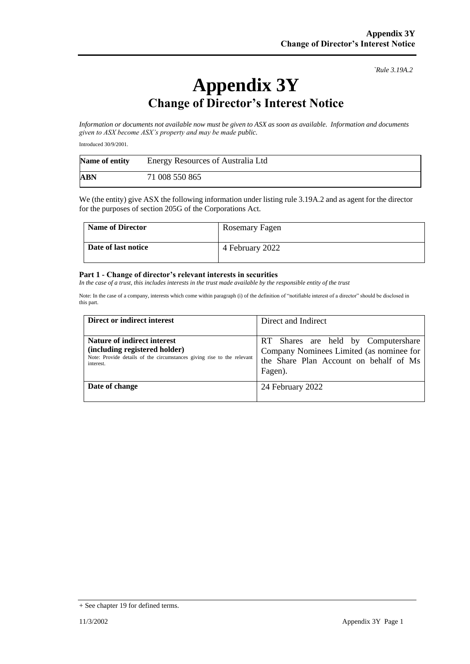*`Rule 3.19A.2*

## **Appendix 3Y Change of Director's Interest Notice**

*Information or documents not available now must be given to ASX as soon as available. Information and documents given to ASX become ASX's property and may be made public.*

Introduced 30/9/2001.

| Name of entity | Energy Resources of Australia Ltd |
|----------------|-----------------------------------|
| ABN            | 71 008 550 865                    |

We (the entity) give ASX the following information under listing rule 3.19A.2 and as agent for the director for the purposes of section 205G of the Corporations Act.

| <b>Name of Director</b> | Rosemary Fagen  |
|-------------------------|-----------------|
| Date of last notice     | 4 February 2022 |

## **Part 1 - Change of director's relevant interests in securities**

*In the case of a trust, this includes interests in the trust made available by the responsible entity of the trust*

Note: In the case of a company, interests which come within paragraph (i) of the definition of "notifiable interest of a director" should be disclosed in this part.

| Direct or indirect interest                                                                                                                         | Direct and Indirect                                                                                                                  |
|-----------------------------------------------------------------------------------------------------------------------------------------------------|--------------------------------------------------------------------------------------------------------------------------------------|
| Nature of indirect interest<br>(including registered holder)<br>Note: Provide details of the circumstances giving rise to the relevant<br>interest. | RT Shares are held by Computershare<br>Company Nominees Limited (as nominee for<br>the Share Plan Account on behalf of Ms<br>Fagen). |
| Date of change                                                                                                                                      | 24 February 2022                                                                                                                     |

<sup>+</sup> See chapter 19 for defined terms.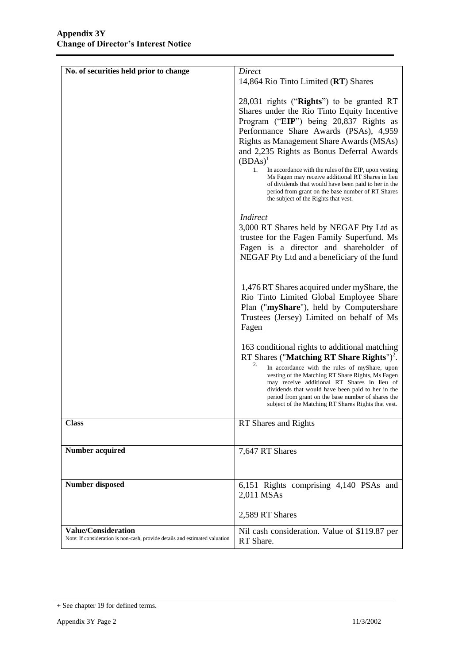| No. of securities held prior to change                                      | Direct                                                                                                                                                                                                                                                                |
|-----------------------------------------------------------------------------|-----------------------------------------------------------------------------------------------------------------------------------------------------------------------------------------------------------------------------------------------------------------------|
|                                                                             | 14,864 Rio Tinto Limited (RT) Shares                                                                                                                                                                                                                                  |
|                                                                             |                                                                                                                                                                                                                                                                       |
|                                                                             | 28,031 rights ("Rights") to be granted RT                                                                                                                                                                                                                             |
|                                                                             |                                                                                                                                                                                                                                                                       |
|                                                                             | Shares under the Rio Tinto Equity Incentive                                                                                                                                                                                                                           |
|                                                                             | Program ("EIP") being 20,837 Rights as                                                                                                                                                                                                                                |
|                                                                             | Performance Share Awards (PSAs), 4,959                                                                                                                                                                                                                                |
|                                                                             | Rights as Management Share Awards (MSAs)                                                                                                                                                                                                                              |
|                                                                             | and 2,235 Rights as Bonus Deferral Awards                                                                                                                                                                                                                             |
|                                                                             | $(BDAs)^1$                                                                                                                                                                                                                                                            |
|                                                                             | 1.<br>In accordance with the rules of the EIP, upon vesting<br>Ms Fagen may receive additional RT Shares in lieu<br>of dividends that would have been paid to her in the<br>period from grant on the base number of RT Shares<br>the subject of the Rights that vest. |
|                                                                             | <i>Indirect</i>                                                                                                                                                                                                                                                       |
|                                                                             | 3,000 RT Shares held by NEGAF Pty Ltd as                                                                                                                                                                                                                              |
|                                                                             | trustee for the Fagen Family Superfund. Ms                                                                                                                                                                                                                            |
|                                                                             | Fagen is a director and shareholder of                                                                                                                                                                                                                                |
|                                                                             | NEGAF Pty Ltd and a beneficiary of the fund                                                                                                                                                                                                                           |
|                                                                             |                                                                                                                                                                                                                                                                       |
|                                                                             |                                                                                                                                                                                                                                                                       |
|                                                                             | 1,476 RT Shares acquired under myShare, the                                                                                                                                                                                                                           |
|                                                                             | Rio Tinto Limited Global Employee Share                                                                                                                                                                                                                               |
|                                                                             | Plan ("myShare"), held by Computershare                                                                                                                                                                                                                               |
|                                                                             | Trustees (Jersey) Limited on behalf of Ms                                                                                                                                                                                                                             |
|                                                                             | Fagen                                                                                                                                                                                                                                                                 |
|                                                                             |                                                                                                                                                                                                                                                                       |
|                                                                             | 163 conditional rights to additional matching                                                                                                                                                                                                                         |
|                                                                             | RT Shares ("Matching RT Share Rights") <sup>2</sup> .<br>2.                                                                                                                                                                                                           |
|                                                                             | In accordance with the rules of myShare, upon<br>vesting of the Matching RT Share Rights, Ms Fagen                                                                                                                                                                    |
|                                                                             | may receive additional RT Shares in lieu of                                                                                                                                                                                                                           |
|                                                                             | dividends that would have been paid to her in the                                                                                                                                                                                                                     |
|                                                                             | period from grant on the base number of shares the<br>subject of the Matching RT Shares Rights that vest.                                                                                                                                                             |
|                                                                             |                                                                                                                                                                                                                                                                       |
| <b>Class</b>                                                                | RT Shares and Rights                                                                                                                                                                                                                                                  |
|                                                                             |                                                                                                                                                                                                                                                                       |
| <b>Number acquired</b>                                                      | 7,647 RT Shares                                                                                                                                                                                                                                                       |
|                                                                             |                                                                                                                                                                                                                                                                       |
|                                                                             |                                                                                                                                                                                                                                                                       |
| <b>Number disposed</b>                                                      | 6,151 Rights comprising 4,140 PSAs and                                                                                                                                                                                                                                |
|                                                                             | 2,011 MSAs                                                                                                                                                                                                                                                            |
|                                                                             |                                                                                                                                                                                                                                                                       |
|                                                                             | 2,589 RT Shares                                                                                                                                                                                                                                                       |
| <b>Value/Consideration</b>                                                  | Nil cash consideration. Value of \$119.87 per                                                                                                                                                                                                                         |
| Note: If consideration is non-cash, provide details and estimated valuation | RT Share.                                                                                                                                                                                                                                                             |

<sup>+</sup> See chapter 19 for defined terms.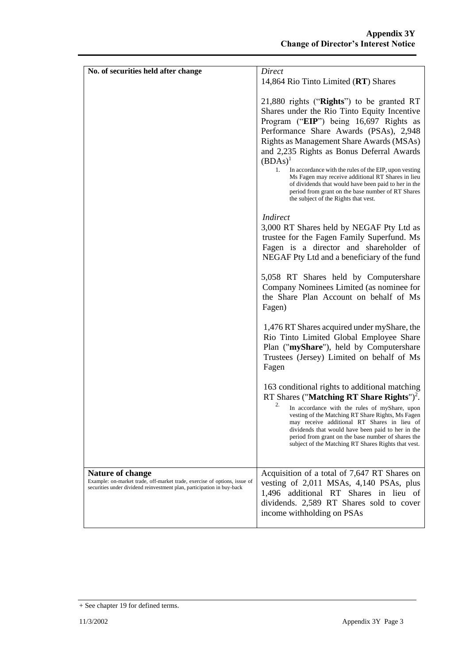| No. of securities held after change                                                                                                                                            | Direct                                                                                                                                                                                                                                                                                                                                                                                                                                                                                                                                                       |
|--------------------------------------------------------------------------------------------------------------------------------------------------------------------------------|--------------------------------------------------------------------------------------------------------------------------------------------------------------------------------------------------------------------------------------------------------------------------------------------------------------------------------------------------------------------------------------------------------------------------------------------------------------------------------------------------------------------------------------------------------------|
|                                                                                                                                                                                | 14,864 Rio Tinto Limited (RT) Shares                                                                                                                                                                                                                                                                                                                                                                                                                                                                                                                         |
|                                                                                                                                                                                | 21,880 rights ("Rights") to be granted RT<br>Shares under the Rio Tinto Equity Incentive<br>Program ("EIP") being 16,697 Rights as<br>Performance Share Awards (PSAs), 2,948<br>Rights as Management Share Awards (MSAs)<br>and 2,235 Rights as Bonus Deferral Awards<br>$(BDAs)^1$<br>1.<br>In accordance with the rules of the EIP, upon vesting<br>Ms Fagen may receive additional RT Shares in lieu<br>of dividends that would have been paid to her in the<br>period from grant on the base number of RT Shares<br>the subject of the Rights that vest. |
|                                                                                                                                                                                | <b>Indirect</b><br>3,000 RT Shares held by NEGAF Pty Ltd as<br>trustee for the Fagen Family Superfund. Ms<br>Fagen is a director and shareholder of<br>NEGAF Pty Ltd and a beneficiary of the fund                                                                                                                                                                                                                                                                                                                                                           |
|                                                                                                                                                                                | 5,058 RT Shares held by Computershare<br>Company Nominees Limited (as nominee for<br>the Share Plan Account on behalf of Ms<br>Fagen)                                                                                                                                                                                                                                                                                                                                                                                                                        |
|                                                                                                                                                                                | 1,476 RT Shares acquired under myShare, the<br>Rio Tinto Limited Global Employee Share<br>Plan ("myShare"), held by Computershare<br>Trustees (Jersey) Limited on behalf of Ms<br>Fagen                                                                                                                                                                                                                                                                                                                                                                      |
|                                                                                                                                                                                | 163 conditional rights to additional matching<br>RT Shares ("Matching RT Share Rights") <sup>2</sup> .<br>2.<br>In accordance with the rules of myShare, upon<br>vesting of the Matching RT Share Rights, Ms Fagen<br>may receive additional RT Shares in lieu of<br>dividends that would have been paid to her in the<br>period from grant on the base number of shares the<br>subject of the Matching RT Shares Rights that vest.                                                                                                                          |
| <b>Nature of change</b><br>Example: on-market trade, off-market trade, exercise of options, issue of<br>securities under dividend reinvestment plan, participation in buy-back | Acquisition of a total of 7,647 RT Shares on<br>vesting of 2,011 MSAs, 4,140 PSAs, plus<br>1,496 additional RT Shares in lieu of<br>dividends. 2,589 RT Shares sold to cover<br>income withholding on PSAs                                                                                                                                                                                                                                                                                                                                                   |

<sup>+</sup> See chapter 19 for defined terms.